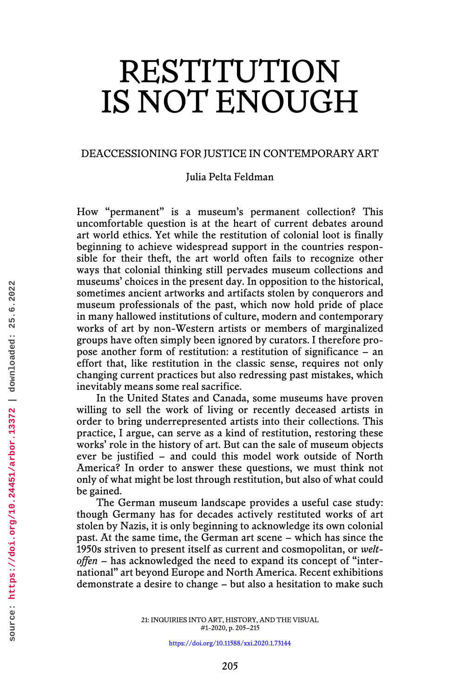# RESTITUTION IS NOT ENOUGH

## DEACCESSIONING FOR JUSTICE IN CONTEMPORARY ART

Julia Pelta Feldman

How "permanent" is a museum's permanent collection? This uncomfortable question is at the heart of current debates around art world ethics. Yet while the restitution of colonial loot is finally beginning to achieve widespread support in the countries responsible for their theft, the art world often fails to recognize other ways that colonial thinking still pervades museum collections and museums' choices in the present day. In opposition to the historical, sometimes ancient artworks and artifacts stolen by conquerors and museum professionals of the past, which now hold pride of place in many hallowed institutions of culture, modern and contemporary works of art by non-Western artists or members of marginalized groups have often simply been ignored by curators. I therefore propose another form of restitution: a restitution of significance – an effort that, like restitution in the classic sense, requires not only changing current practices but also redressing past mistakes, which inevitably means some real sacrifice.

In the United States and Canada, some museums have proven willing to sell the work of living or recently deceased artists in order to bring underrepresented artists into their collections. This practice, I argue, can serve as a kind of restitution, restoring these works' role in the history of art. But can the sale of museum objects ever be justified – and could this model work outside of North America? In order to answer these questions, we must think not only of what might be lost through restitution, but also of what could be gained.

The German museum landscape provides a useful case study: though Germany has for decades actively restituted works of art stolen by Nazis, it is only beginning to acknowledge its own colonial past. At the same time, the German art scene – which has since the 1950s striven to present itself as current and cosmopolitan, or *weltoffen* – has acknowledged the need to expand its concept of "international" art beyond Europe and North America. Recent exhibitions demonstrate a desire to change – but also a hesitation to make such

> 21: INQUIRIES INTO ART, HISTORY, AND THE VISUAL #1-2020, p. 205–215

> > <https://doi.org/10.11588/xxi.2020.1.73144>

source: https://doi.org/10.24451/arbor.13372 | downloaded: 25.6.2022 **source: https://doi.org/10.24451/arbor.13372 | downloaded: 25.6.2022**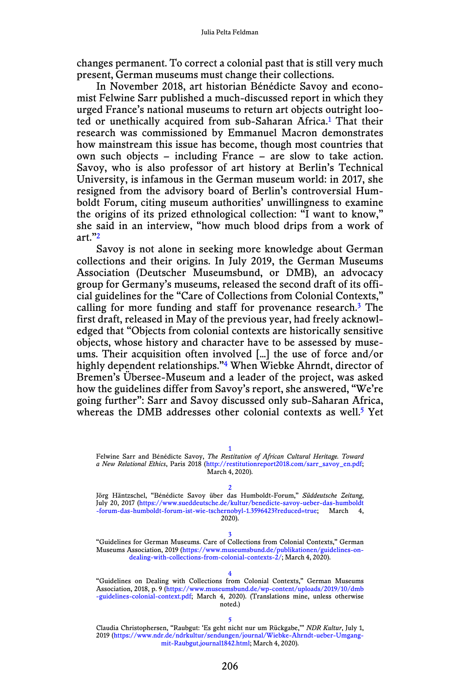changes permanent. To correct a colonial past that is still very much present, German museums must change their collections.

In November 2018, art historian Bénédicte Savoy and economist Felwine Sarr published a much-discussed report in which they urged France's national museums to return art objects outright looted or unethically acquired from sub-Saharan Africa.<sup>1</sup> That their research was commissioned by Emmanuel Macron demonstrates how mainstream this issue has become, though most countries that own such objects – including France – are slow to take action. Savoy, who is also professor of art history at Berlin's Technical University, is infamous in the German museum world: in 2017, she resigned from the advisory board of Berlin's controversial Humboldt Forum, citing museum authorities' unwillingness to examine the origins of its prized ethnological collection: "I want to know," she said in an interview, "how much blood drips from a work of art."2

Savoy is not alone in seeking more knowledge about German collections and their origins. In July 2019, the German Museums Association (Deutscher Museumsbund, or DMB), an advocacy group for Germany's museums, released the second draft of its official guidelines for the "Care of Collections from Colonial Contexts," calling for more funding and staff for provenance research.3 The first draft, released in May of the previous year, had freely acknowledged that "Objects from colonial contexts are historically sensitive objects, whose history and character have to be assessed by museums. Their acquisition often involved […] the use of force and/or highly dependent relationships."<sup>4</sup> When Wiebke Ahrndt, director of Bremen's Übersee-Museum and a leader of the project, was asked how the guidelines differ from Savoy's report, she answered, "We're going further": Sarr and Savoy discussed only sub-Saharan Africa, whereas the DMB addresses other colonial contexts as well.<sup>5</sup> Yet

1 Felwine Sarr and Bénédicte Savoy, *The Restitution of African Cultural Heritage. Toward a New Relational Ethics*, Paris 2018 ([http://restitutionreport2018.com/sarr\\_savoy\\_en.pdf](http://restitutionreport2018.com/sarr_savoy_en.pdf); March 4, 2020).

2

Jörg Häntzschel, "Bénédicte Savoy über das Humboldt-Forum," *Süddeutsche Zeitung*, July 20, 2017 ([https://www.sueddeutsche.de/kultur/benedicte-savoy-ueber-das-humboldt](https://www.sueddeutsche.de/kultur/benedicte-savoy-ueber-das-humboldt-forum-das-humboldt-forum-ist-wie-tschernobyl-1.3596423?reduced=true) [-forum-das-humboldt-forum-ist-wie-tschernobyl-1.3596423?reduced=true](https://www.sueddeutsche.de/kultur/benedicte-savoy-ueber-das-humboldt-forum-das-humboldt-forum-ist-wie-tschernobyl-1.3596423?reduced=true); March 4, 2020).

3 "Guidelines for German Museums. Care of Collections from Colonial Contexts," German Museums Association, 2019 [\(https://www.museumsbund.de/publikationen/guidelines-on](https://www.museumsbund.de/publikationen/guidelines-on-dealing-with-collections-from-colonial-contexts-2/)[dealing-with-collections-from-colonial-contexts-2/](https://www.museumsbund.de/publikationen/guidelines-on-dealing-with-collections-from-colonial-contexts-2/); March 4, 2020).

4 "Guidelines on Dealing with Collections from Colonial Contexts," German Museums Association, 2018, p. 9 [\(https://www.museumsbund.de/wp-content/uploads/2019/10/dmb](https://www.museumsbund.de/wp-content/uploads/2019/10/dmb-guidelines-colonial-context.pdf) [-guidelines-colonial-context.pdf;](https://www.museumsbund.de/wp-content/uploads/2019/10/dmb-guidelines-colonial-context.pdf) March 4, 2020). (Translations mine, unless otherwise noted.)

5 Claudia Christophersen, "Raubgut: 'Es geht nicht nur um Rückgabe,'" *NDR Kultur*, July 1, 2019 ([https://www.ndr.de/ndrkultur/sendungen/journal/Wiebke-Ahrndt-ueber-Umgang](https://www.ndr.de/ndrkultur/sendungen/journal/Wiebke-Ahrndt-ueber-Umgang-mit-Raubgut,journal1842.html)[mit-Raubgut,journal1842.html;](https://www.ndr.de/ndrkultur/sendungen/journal/Wiebke-Ahrndt-ueber-Umgang-mit-Raubgut,journal1842.html) March 4, 2020).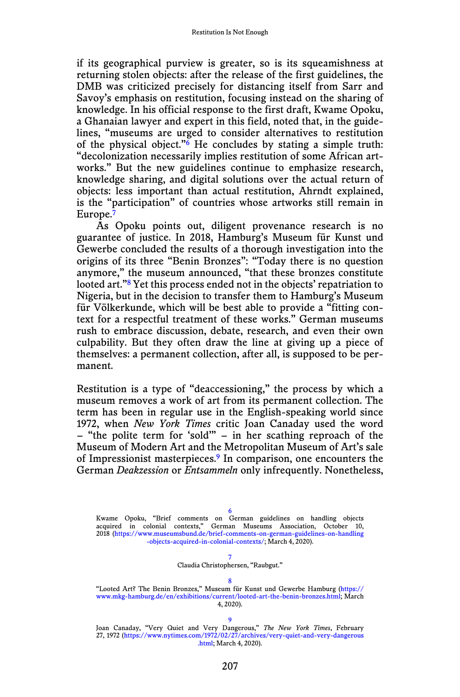if its geographical purview is greater, so is its squeamishness at returning stolen objects: after the release of the first guidelines, the DMB was criticized precisely for distancing itself from Sarr and Savoy's emphasis on restitution, focusing instead on the sharing of knowledge. In his official response to the first draft, Kwame Opoku, a Ghanaian lawyer and expert in this field, noted that, in the guidelines, "museums are urged to consider alternatives to restitution of the physical object."<sup>6</sup> He concludes by stating a simple truth: "decolonization necessarily implies restitution of some African artworks." But the new guidelines continue to emphasize research, knowledge sharing, and digital solutions over the actual return of objects: less important than actual restitution, Ahrndt explained, is the "participation" of countries whose artworks still remain in Europe.<sup>7</sup>

As Opoku points out, diligent provenance research is no guarantee of justice. In 2018, Hamburg's Museum für Kunst und Gewerbe concluded the results of a thorough investigation into the origins of its three "Benin Bronzes": "Today there is no question anymore," the museum announced, "that these bronzes constitute looted art.<sup>"8</sup> Yet this process ended not in the objects' repatriation to Nigeria, but in the decision to transfer them to Hamburg's Museum für Völkerkunde, which will be best able to provide a "fitting context for a respectful treatment of these works." German museums rush to embrace discussion, debate, research, and even their own culpability. But they often draw the line at giving up a piece of themselves: a permanent collection, after all, is supposed to be permanent.

Restitution is a type of "deaccessioning," the process by which a museum removes a work of art from its permanent collection. The term has been in regular use in the English-speaking world since 1972, when *New York Times* critic Joan Canaday used the word – "the polite term for 'sold'" – in her scathing reproach of the Museum of Modern Art and the Metropolitan Museum of Art's sale of Impressionist masterpieces.9 In comparison, one encounters the German *Deakzession* or *Entsammeln* only infrequently. Nonetheless,

6 Kwame Opoku, "Brief comments on German guidelines on handling objects acquired in colonial contexts," German Museums Association, October 10, 2018 [\(https://www.museumsbund.de/brief-comments-on-german-guidelines-on-handling](https://www.museumsbund.de/brief-comments-on-german-guidelines-on-handling-objects-acquired-in-colonial-contexts/) [-objects-acquired-in-colonial-contexts/;](https://www.museumsbund.de/brief-comments-on-german-guidelines-on-handling-objects-acquired-in-colonial-contexts/) March 4, 2020).

7

#### Claudia Christophersen, "Raubgut."

8 "Looted Art? The Benin Bronzes," Museum für Kunst und Gewerbe Hamburg [\(https://](https://www.mkg-hamburg.de/en/exhibitions/current/looted-art-the-benin-bronzes.html) [www.mkg-hamburg.de/en/exhibitions/current/looted-art-the-benin-bronzes.html](https://www.mkg-hamburg.de/en/exhibitions/current/looted-art-the-benin-bronzes.html); March 4, 2020).

9

Joan Canaday, "Very Quiet and Very Dangerous," *The New York Times*, February 27, 1972 [\(https://www.nytimes.com/1972/02/27/archives/very-quiet-and-very-dangerous](https://www.nytimes.com/1972/02/27/archives/very-quiet-and-very-dangerous.html) [.html;](https://www.nytimes.com/1972/02/27/archives/very-quiet-and-very-dangerous.html) March 4, 2020).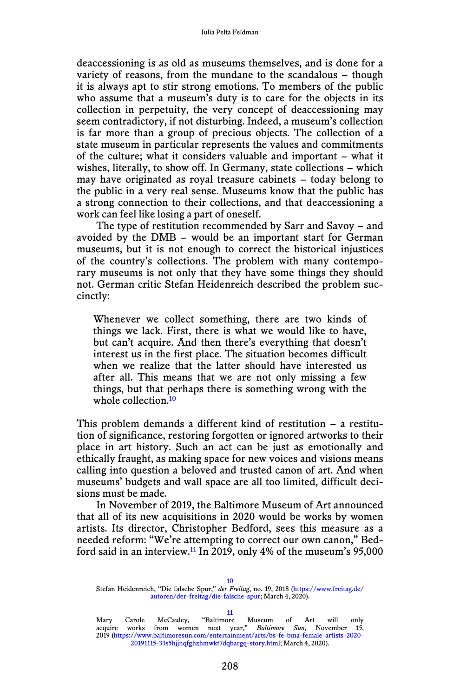deaccessioning is as old as museums themselves, and is done for a variety of reasons, from the mundane to the scandalous – though it is always apt to stir strong emotions. To members of the public who assume that a museum's duty is to care for the objects in its collection in perpetuity, the very concept of deaccessioning may seem contradictory, if not disturbing. Indeed, a museum's collection is far more than a group of precious objects. The collection of a state museum in particular represents the values and commitments of the culture; what it considers valuable and important – what it wishes, literally, to show off. In Germany, state collections – which may have originated as royal treasure cabinets – today belong to the public in a very real sense. Museums know that the public has a strong connection to their collections, and that deaccessioning a work can feel like losing a part of oneself.

The type of restitution recommended by Sarr and Savoy – and avoided by the DMB – would be an important start for German museums, but it is not enough to correct the historical injustices of the country's collections. The problem with many contemporary museums is not only that they have some things they should not. German critic Stefan Heidenreich described the problem succinctly:

Whenever we collect something, there are two kinds of things we lack. First, there is what we would like to have, but can't acquire. And then there's everything that doesn't interest us in the first place. The situation becomes difficult when we realize that the latter should have interested us after all. This means that we are not only missing a few things, but that perhaps there is something wrong with the whole collection.<sup>10</sup>

This problem demands a different kind of restitution – a restitution of significance, restoring forgotten or ignored artworks to their place in art history. Such an act can be just as emotionally and ethically fraught, as making space for new voices and visions means calling into question a beloved and trusted canon of art. And when museums' budgets and wall space are all too limited, difficult decisions must be made.

In November of 2019, the Baltimore Museum of Art announced that all of its new acquisitions in 2020 would be works by women artists. Its director, Christopher Bedford, sees this measure as a needed reform: "We're attempting to correct our own canon," Bedford said in an interview.<sup>11</sup> In 2019, only 4% of the museum's  $95,000$ 

11 Mary Carole McCauley, "Baltimore Museum of Art will only acquire works from women next year," *Baltimore Sun*, November 15, 2019 ([https://www.baltimoresun.com/entertainment/arts/bs-fe-bma-female-artists-2020-](https://www.baltimoresun.com/entertainment/arts/bs-fe-bma-female-artists-2020-20191115-33s5hjjnqfghzhmwkt7dqbargq-story.html)

<sup>10</sup> Stefan Heidenreich, "Die falsche Spur," *der Freitag*, no. 19, 2018 [\(https://www.freitag.de/](https://www.freitag.de/autoren/der-freitag/die-falsche-spur) [autoren/der-freitag/die-falsche-spur;](https://www.freitag.de/autoren/der-freitag/die-falsche-spur) March 4, 2020).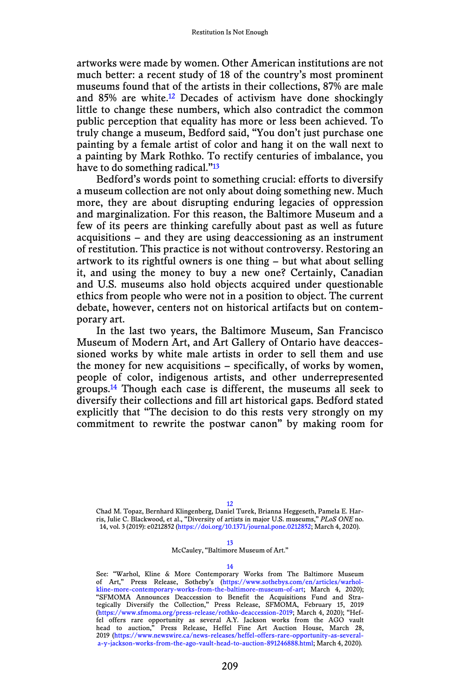artworks were made by women. Other American institutions are not much better: a recent study of 18 of the country's most prominent museums found that of the artists in their collections, 87% are male and  $85\%$  are white.<sup>12</sup> Decades of activism have done shockingly little to change these numbers, which also contradict the common public perception that equality has more or less been achieved. To truly change a museum, Bedford said, "You don't just purchase one painting by a female artist of color and hang it on the wall next to a painting by Mark Rothko. To rectify centuries of imbalance, you have to do something radical."<sup>13</sup>

Bedford's words point to something crucial: efforts to diversify a museum collection are not only about doing something new. Much more, they are about disrupting enduring legacies of oppression and marginalization. For this reason, the Baltimore Museum and a few of its peers are thinking carefully about past as well as future acquisitions – and they are using deaccessioning as an instrument of restitution. This practice is not without controversy. Restoring an artwork to its rightful owners is one thing – but what about selling it, and using the money to buy a new one? Certainly, Canadian and U.S. museums also hold objects acquired under questionable ethics from people who were not in a position to object. The current debate, however, centers not on historical artifacts but on contemporary art.

In the last two years, the Baltimore Museum, San Francisco Museum of Modern Art, and Art Gallery of Ontario have deaccessioned works by white male artists in order to sell them and use the money for new acquisitions – specifically, of works by women, people of color, indigenous artists, and other underrepresented groups.14 Though each case is different, the museums all seek to diversify their collections and fill art historical gaps. Bedford stated explicitly that "The decision to do this rests very strongly on my commitment to rewrite the postwar canon" by making room for

12

Chad M. Topaz, Bernhard Klingenberg, Daniel Turek, Brianna Heggeseth, Pamela E. Harris, Julie C. Blackwood, et al., "Diversity of artists in major U.S. museums," *PLoS ONE* no. 14, vol. 3 (2019): e0212852 (<https://doi.org/10.1371/journal.pone.0212852>; March 4, 2020).

### 13

McCauley, "Baltimore Museum of Art."

#### 14

See: "Warhol, Kline & More Contemporary Works from The Baltimore Museum of Art," Press Release, Sotheby's [\(https://www.sothebys.com/en/articles/warhol-](https://www.sothebys.com/en/articles/warhol-kline-more-contemporary-works-from-the-baltimore-museum-of-art)[kline-more-contemporary-works-from-the-baltimore-museum-of-art;](https://www.sothebys.com/en/articles/warhol-kline-more-contemporary-works-from-the-baltimore-museum-of-art) March 4, 2020); "SFMOMA Announces Deaccession to Benefit the Acquisitions Fund and Stra-tegically Diversify the Collection," Press Release, SFMOMA, February 15, 2019 (https://www.sfmoma.org/press-release/rothko-deaccession-2019; March 4, 2020); "Heffel offers rare opportunity as several A.Y. Jackson works from the AGO vault head to auction," Press Release, Heffel Fine Art Auction House, March 28, 2019 (https://www.newswire.ca/news-releases/heffel-offers-rare-opportunity-as-severala-y-jackson-works-from-the-ago-vault-head-to-auction-891246888.html; March 4, 2020).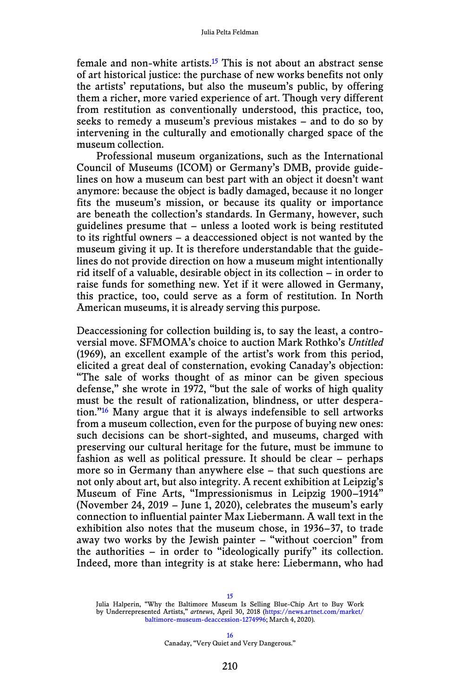female and non-white artists.<sup>15</sup> This is not about an abstract sense of art historical justice: the purchase of new works benefits not only the artists' reputations, but also the museum's public, by offering them a richer, more varied experience of art. Though very different from restitution as conventionally understood, this practice, too, seeks to remedy a museum's previous mistakes – and to do so by intervening in the culturally and emotionally charged space of the museum collection.

Professional museum organizations, such as the International Council of Museums (ICOM) or Germany's DMB, provide guidelines on how a museum can best part with an object it doesn't want anymore: because the object is badly damaged, because it no longer fits the museum's mission, or because its quality or importance are beneath the collection's standards. In Germany, however, such guidelines presume that – unless a looted work is being restituted to its rightful owners – a deaccessioned object is not wanted by the museum giving it up. It is therefore understandable that the guidelines do not provide direction on how a museum might intentionally rid itself of a valuable, desirable object in its collection – in order to raise funds for something new. Yet if it were allowed in Germany, this practice, too, could serve as a form of restitution. In North American museums, it is already serving this purpose.

Deaccessioning for collection building is, to say the least, a controversial move. SFMOMA's choice to auction Mark Rothko's *Untitled* (1969), an excellent example of the artist's work from this period, elicited a great deal of consternation, evoking Canaday's objection: "The sale of works thought of as minor can be given specious defense," she wrote in 1972, "but the sale of works of high quality must be the result of rationalization, blindness, or utter desperation."16 Many argue that it is always indefensible to sell artworks from a museum collection, even for the purpose of buying new ones: such decisions can be short-sighted, and museums, charged with preserving our cultural heritage for the future, must be immune to fashion as well as political pressure. It should be clear – perhaps more so in Germany than anywhere else – that such questions are not only about art, but also integrity. A recent exhibition at Leipzig's Museum of Fine Arts, "Impressionismus in Leipzig 1900–1914" (November 24, 2019 – June 1, 2020), celebrates the museum's early connection to influential painter Max Liebermann. A wall text in the exhibition also notes that the museum chose, in 1936–37, to trade away two works by the Jewish painter – "without coercion" from the authorities – in order to "ideologically purify" its collection. Indeed, more than integrity is at stake here: Liebermann, who had

15 Julia Halperin, "Why the Baltimore Museum Is Selling Blue-Chip Art to Buy Work

by Underrepresented Artists," *artnews*, April 30, 2018 [\(https://news.artnet.com/market/](https://news.artnet.com/market/baltimore-museum-deaccession-1274996) [baltimore-museum-deaccession-1274996](https://news.artnet.com/market/baltimore-museum-deaccession-1274996); March 4, 2020).

> 16 Canaday, "Very Quiet and Very Dangerous."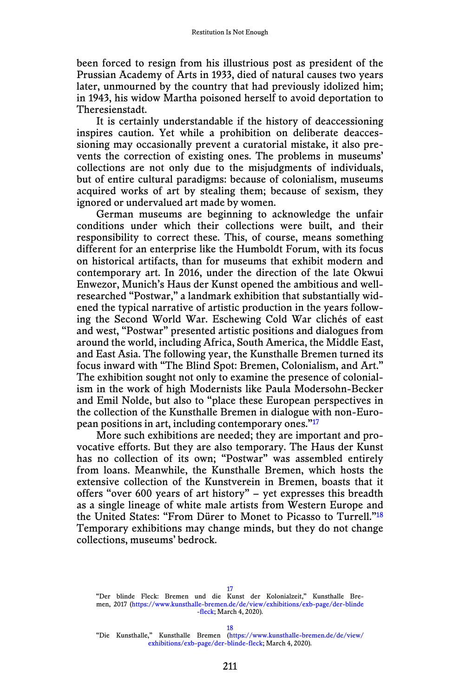been forced to resign from his illustrious post as president of the Prussian Academy of Arts in 1933, died of natural causes two years later, unmourned by the country that had previously idolized him; in 1943, his widow Martha poisoned herself to avoid deportation to Theresienstadt.

It is certainly understandable if the history of deaccessioning inspires caution. Yet while a prohibition on deliberate deaccessioning may occasionally prevent a curatorial mistake, it also prevents the correction of existing ones. The problems in museums' collections are not only due to the misjudgments of individuals, but of entire cultural paradigms: because of colonialism, museums acquired works of art by stealing them; because of sexism, they ignored or undervalued art made by women.

German museums are beginning to acknowledge the unfair conditions under which their collections were built, and their responsibility to correct these. This, of course, means something different for an enterprise like the Humboldt Forum, with its focus on historical artifacts, than for museums that exhibit modern and contemporary art. In 2016, under the direction of the late Okwui Enwezor, Munich's Haus der Kunst opened the ambitious and wellresearched "Postwar," a landmark exhibition that substantially widened the typical narrative of artistic production in the years following the Second World War. Eschewing Cold War clichés of east and west, "Postwar" presented artistic positions and dialogues from around the world, including Africa, South America, the Middle East, and East Asia. The following year, the Kunsthalle Bremen turned its focus inward with "The Blind Spot: Bremen, Colonialism, and Art." The exhibition sought not only to examine the presence of colonialism in the work of high Modernists like Paula Modersohn-Becker and Emil Nolde, but also to "place these European perspectives in the collection of the Kunsthalle Bremen in dialogue with non-European positions in art, including contemporary ones."17

More such exhibitions are needed; they are important and provocative efforts. But they are also temporary. The Haus der Kunst has no collection of its own; "Postwar" was assembled entirely from loans. Meanwhile, the Kunsthalle Bremen, which hosts the extensive collection of the Kunstverein in Bremen, boasts that it offers "over 600 years of art history" – yet expresses this breadth as a single lineage of white male artists from Western Europe and the United States: "From Dürer to Monet to Picasso to Turrell."18 Temporary exhibitions may change minds, but they do not change collections, museums' bedrock.

17 "Der blinde Fleck: Bremen und die Kunst der Kolonialzeit," Kunsthalle Bremen, 2017 [\(https://www.kunsthalle-bremen.de/de/view/exhibitions/exb-page/der-blinde](https://www.kunsthalle-bremen.de/de/view/exhibitions/exb-page/der-blinde-fleck) [-fleck;](https://www.kunsthalle-bremen.de/de/view/exhibitions/exb-page/der-blinde-fleck) March 4, 2020).

18

"Die Kunsthalle," Kunsthalle Bremen [\(https://www.kunsthalle-bremen.de/de/view/](https://www.kunsthalle-bremen.de/de/view/exhibitions/exb-page/der-blinde-fleck) [exhibitions/exb-page/der-blinde-fleck](https://www.kunsthalle-bremen.de/de/view/exhibitions/exb-page/der-blinde-fleck); March 4, 2020).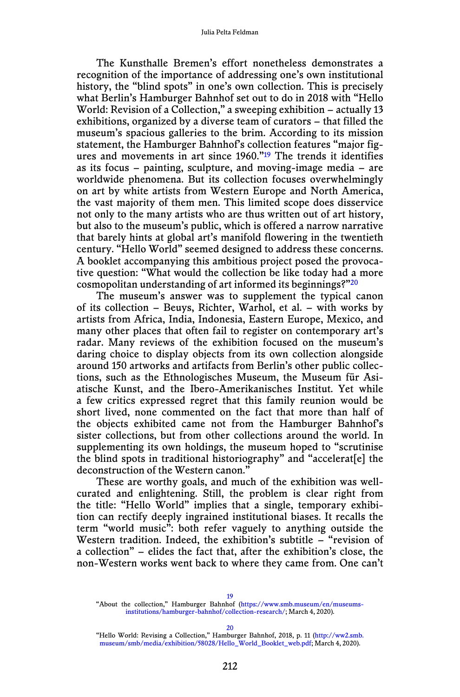The Kunsthalle Bremen's effort nonetheless demonstrates a recognition of the importance of addressing one's own institutional history, the "blind spots" in one's own collection. This is precisely what Berlin's Hamburger Bahnhof set out to do in 2018 with "Hello World: Revision of a Collection," a sweeping exhibition – actually 13 exhibitions, organized by a diverse team of curators – that filled the museum's spacious galleries to the brim. According to its mission statement, the Hamburger Bahnhof's collection features "major figures and movements in art since 1960."19 The trends it identifies as its focus – painting, sculpture, and moving-image media – are worldwide phenomena. But its collection focuses overwhelmingly on art by white artists from Western Europe and North America, the vast majority of them men. This limited scope does disservice not only to the many artists who are thus written out of art history, but also to the museum's public, which is offered a narrow narrative that barely hints at global art's manifold flowering in the twentieth century. "Hello World" seemed designed to address these concerns. A booklet accompanying this ambitious project posed the provocative question: "What would the collection be like today had a more cosmopolitan understanding of art informed its beginnings?"20

The museum's answer was to supplement the typical canon of its collection – Beuys, Richter, Warhol, et al. – with works by artists from Africa, India, Indonesia, Eastern Europe, Mexico, and many other places that often fail to register on contemporary art's radar. Many reviews of the exhibition focused on the museum's daring choice to display objects from its own collection alongside around 150 artworks and artifacts from Berlin's other public collections, such as the Ethnologisches Museum, the Museum für Asiatische Kunst, and the Ibero-Amerikanisches Institut. Yet while a few critics expressed regret that this family reunion would be short lived, none commented on the fact that more than half of the objects exhibited came not from the Hamburger Bahnhof's sister collections, but from other collections around the world. In supplementing its own holdings, the museum hoped to "scrutinise the blind spots in traditional historiography" and "accelerat[e] the deconstruction of the Western canon."

These are worthy goals, and much of the exhibition was wellcurated and enlightening. Still, the problem is clear right from the title: "Hello World" implies that a single, temporary exhibition can rectify deeply ingrained institutional biases. It recalls the term "world music": both refer vaguely to anything outside the Western tradition. Indeed, the exhibition's subtitle – "revision of a collection" – elides the fact that, after the exhibition's close, the non-Western works went back to where they came from. One can't

19 "About the collection," Hamburger Bahnhof ([https://www.smb.museum/en/museums](https://www.smb.museum/en/museums-institutions/hamburger-bahnhof/collection-research/)[institutions/hamburger-bahnhof/collection-research/](https://www.smb.museum/en/museums-institutions/hamburger-bahnhof/collection-research/); March 4, 2020).

20

"Hello World: Revising a Collection," Hamburger Bahnhof, 2018, p. 11 [\(http://ww2.smb.](http://ww2.smb.museum/smb/media/exhibition/58028/Hello_World_Booklet_web.pdf) [museum/smb/media/exhibition/58028/Hello\\_World\\_Booklet\\_web.pdf;](http://ww2.smb.museum/smb/media/exhibition/58028/Hello_World_Booklet_web.pdf) March 4, 2020).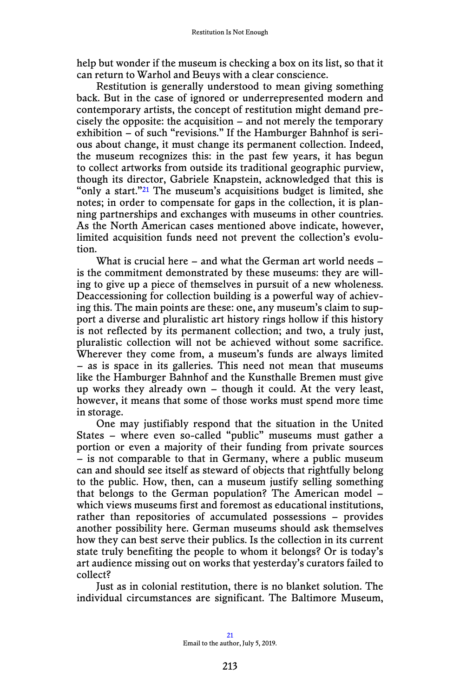help but wonder if the museum is checking a box on its list, so that it can return to Warhol and Beuys with a clear conscience.

Restitution is generally understood to mean giving something back. But in the case of ignored or underrepresented modern and contemporary artists, the concept of restitution might demand precisely the opposite: the acquisition – and not merely the temporary exhibition – of such "revisions." If the Hamburger Bahnhof is serious about change, it must change its permanent collection. Indeed, the museum recognizes this: in the past few years, it has begun to collect artworks from outside its traditional geographic purview, though its director, Gabriele Knapstein, acknowledged that this is "only a start." $21$  The museum's acquisitions budget is limited, she notes; in order to compensate for gaps in the collection, it is planning partnerships and exchanges with museums in other countries. As the North American cases mentioned above indicate, however, limited acquisition funds need not prevent the collection's evolution.

What is crucial here – and what the German art world needs – is the commitment demonstrated by these museums: they are willing to give up a piece of themselves in pursuit of a new wholeness. Deaccessioning for collection building is a powerful way of achieving this. The main points are these: one, any museum's claim to support a diverse and pluralistic art history rings hollow if this history is not reflected by its permanent collection; and two, a truly just, pluralistic collection will not be achieved without some sacrifice. Wherever they come from, a museum's funds are always limited – as is space in its galleries. This need not mean that museums like the Hamburger Bahnhof and the Kunsthalle Bremen must give up works they already own – though it could. At the very least, however, it means that some of those works must spend more time in storage.

One may justifiably respond that the situation in the United States – where even so-called "public" museums must gather a portion or even a majority of their funding from private sources – is not comparable to that in Germany, where a public museum can and should see itself as steward of objects that rightfully belong to the public. How, then, can a museum justify selling something that belongs to the German population? The American model – which views museums first and foremost as educational institutions, rather than repositories of accumulated possessions – provides another possibility here. German museums should ask themselves how they can best serve their publics. Is the collection in its current state truly benefiting the people to whom it belongs? Or is today's art audience missing out on works that yesterday's curators failed to collect?

Just as in colonial restitution, there is no blanket solution. The individual circumstances are significant. The Baltimore Museum,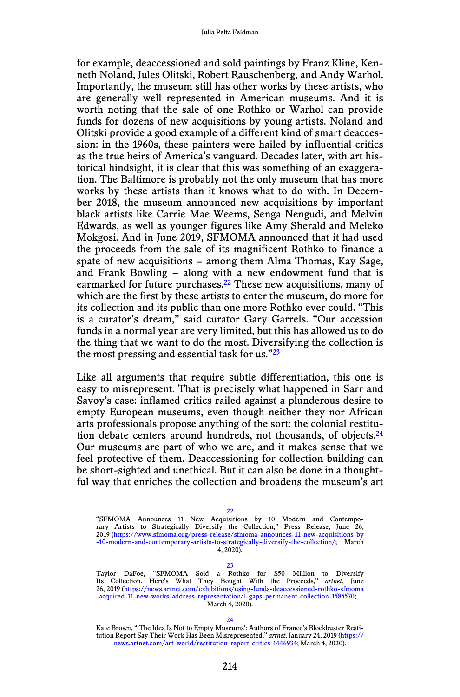for example, deaccessioned and sold paintings by Franz Kline, Kenneth Noland, Jules Olitski, Robert Rauschenberg, and Andy Warhol. Importantly, the museum still has other works by these artists, who are generally well represented in American museums. And it is worth noting that the sale of one Rothko or Warhol can provide funds for dozens of new acquisitions by young artists. Noland and Olitski provide a good example of a different kind of smart deaccession: in the 1960s, these painters were hailed by influential critics as the true heirs of America's vanguard. Decades later, with art historical hindsight, it is clear that this was something of an exaggeration. The Baltimore is probably not the only museum that has more works by these artists than it knows what to do with. In December 2018, the museum announced new acquisitions by important black artists like Carrie Mae Weems, Senga Nengudi, and Melvin Edwards, as well as younger figures like Amy Sherald and Meleko Mokgosi. And in June 2019, SFMOMA announced that it had used the proceeds from the sale of its magnificent Rothko to finance a spate of new acquisitions – among them Alma Thomas, Kay Sage, and Frank Bowling – along with a new endowment fund that is earmarked for future purchases.<sup>22</sup> These new acquisitions, many of which are the first by these artists to enter the museum, do more for its collection and its public than one more Rothko ever could. "This is a curator's dream," said curator Gary Garrels. "Our accession funds in a normal year are very limited, but this has allowed us to do the thing that we want to do the most. Diversifying the collection is the most pressing and essential task for us. $\frac{23}{2}$ 

Like all arguments that require subtle differentiation, this one is easy to misrepresent. That is precisely what happened in Sarr and Savoy's case: inflamed critics railed against a plunderous desire to empty European museums, even though neither they nor African arts professionals propose anything of the sort: the colonial restitution debate centers around hundreds, not thousands, of objects.<sup>24</sup> Our museums are part of who we are, and it makes sense that we feel protective of them. Deaccessioning for collection building can be short-sighted and unethical. But it can also be done in a thoughtful way that enriches the collection and broadens the museum's art

22

"SFMOMA Announces 11 New Acquisitions by 10 Modern and Contempo-rary Artists to Strategically Diversify the Collection," Press Release, June 26, 2019 ([https://www.sfmoma.org/press-release/sfmoma-announces-11-new-acquisitions-by](https://www.sfmoma.org/press-release/sfmoma-announces-11-new-acquisitions-by-10-modern-and-contemporary-artists-to-strategically-diversify-the-collection/) [-10-modern-and-contemporary-artists-to-strategically-diversify-the-collection/;](https://www.sfmoma.org/press-release/sfmoma-announces-11-new-acquisitions-by-10-modern-and-contemporary-artists-to-strategically-diversify-the-collection/) March 4, 2020).

23

Taylor DaFoe, "SFMOMA Sold a Rothko for \$50 Million to Diversify<br>Its Collection. Here's What They Bought With the Proceeds," *artnet*, June<br>26,2019(https://news.artnet.com/exhibitions/using-funds-deaccessioned-rothko-sfmom [-acquired-11-new-works-address-representational-gaps-permanent-collection-1585570;](https://news.artnet.com/exhibitions/using-funds-deaccessioned-rothko-sfmoma-acquired-11-new-works-address-representational-gaps-permanent-collection-1585570) March 4, 2020).

24

Kate Brown, "'The Idea Is Not to Empty Museums': Authors of France's Blockbuster Restitution Report Say Their Work Has Been Misrepresented," *artnet*, January 24, 2019 [\(https://](https://news.artnet.com/art-world/restitution-report-critics-1446934) [news.artnet.com/art-world/restitution-report-critics-1446934](https://news.artnet.com/art-world/restitution-report-critics-1446934); March 4, 2020).